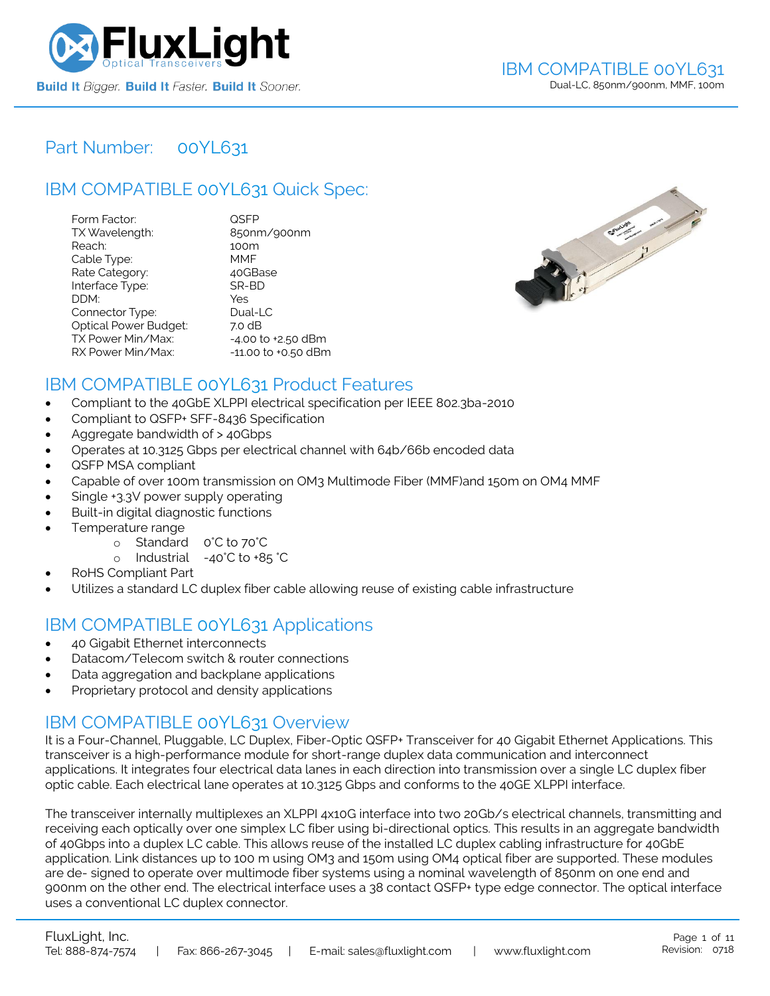

### Part Number: [00YL631](https://www.fluxlight.com/00YL631/)

## IBM COMPATIBLE [00YL631](https://www.fluxlight.com/00YL631/) Quick Spec:

| Form Factor:                 | QSFP                   |
|------------------------------|------------------------|
| TX Wavelength:               | 850nm/900nm            |
| Reach:                       | 100m                   |
| Cable Type:                  | MMF                    |
| Rate Category:               | 40GBase                |
| Interface Type:              | SR-BD                  |
| DDM:                         | Yes                    |
| Connector Type:              | Dual-LC                |
| <b>Optical Power Budget:</b> | 7.0 dB                 |
| TX Power Min/Max:            | $-4.00$ to $+2.50$ dBm |
| RX Power Min/Max:            | -11.00 to +0.50 dBm    |



### IBM COMPATIBLE [00YL631](https://www.fluxlight.com/00YL631/) Product Features

- Compliant to the 40GbE XLPPI electrical specification per IEEE 802.3ba-2010
- Compliant to QSFP+ SFF-8436 Specification
- Aggregate bandwidth of > 40Gbps
- Operates at 10.3125 Gbps per electrical channel with 64b/66b encoded data
- QSFP MSA compliant
- Capable of over 100m transmission on OM3 Multimode Fiber (MMF)and 150m on OM4 MMF
- Single +3.3V power supply operating
- Built-in digital diagnostic functions
- Temperature range
	- o Standard 0°C to 70°C
	- o Industrial -40°C to +85 °C
- RoHS Compliant Part
- Utilizes a standard LC duplex fiber cable allowing reuse of existing cable infrastructure

### IBM COMPATIBLE [00YL631](https://www.fluxlight.com/00YL631/) Applications

- 40 Gigabit Ethernet interconnects
- Datacom/Telecom switch & router connections
- Data aggregation and backplane applications
- Proprietary protocol and density applications

### IBM COMPATIBLE [00YL631](https://www.fluxlight.com/00YL631/) Overview

It is a Four-Channel, Pluggable, LC Duplex, Fiber-Optic QSFP+ Transceiver for 40 Gigabit Ethernet Applications. This transceiver is a high-performance module for short-range duplex data communication and interconnect applications. It integrates four electrical data lanes in each direction into transmission over a single LC duplex fiber optic cable. Each electrical lane operates at 10.3125 Gbps and conforms to the 40GE XLPPI interface.

The transceiver internally multiplexes an XLPPI 4x10G interface into two 20Gb/s electrical channels, transmitting and receiving each optically over one simplex LC fiber using bi-directional optics. This results in an aggregate bandwidth of 40Gbps into a duplex LC cable. This allows reuse of the installed LC duplex cabling infrastructure for 40GbE application. Link distances up to 100 m using OM3 and 150m using OM4 optical fiber are supported. These modules are de- signed to operate over multimode fiber systems using a nominal wavelength of 850nm on one end and 900nm on the other end. The electrical interface uses a 38 contact QSFP+ type edge connector. The optical interface uses a conventional LC duplex connector.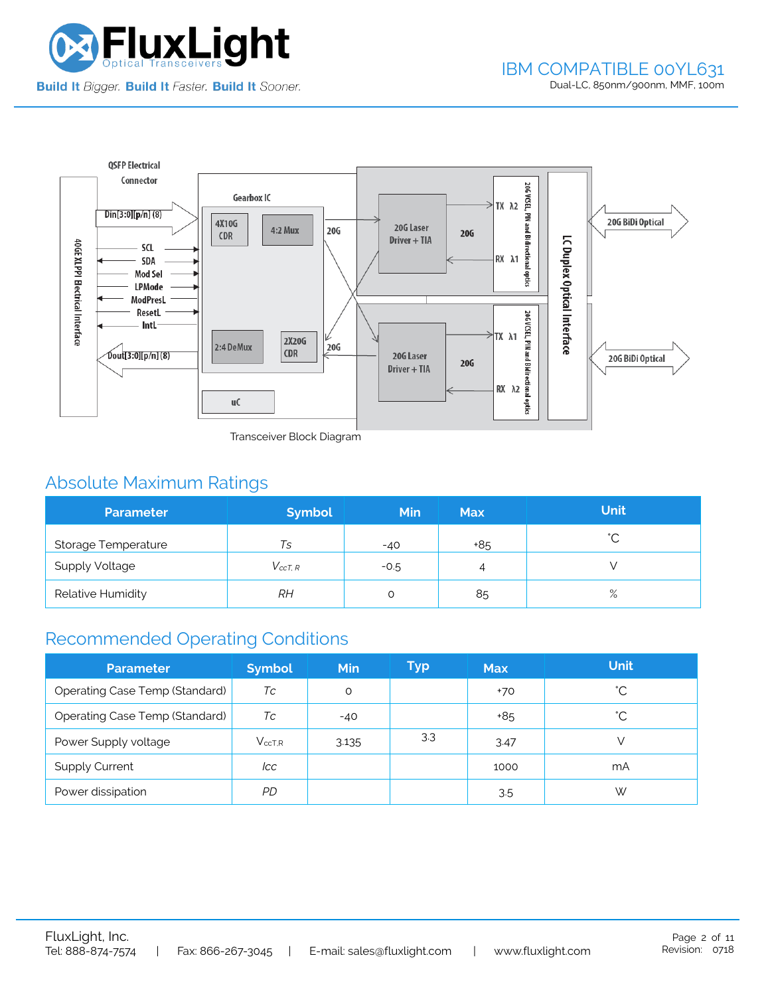



Transceiver Block Diagram

# Absolute Maximum Ratings

| <b>Parameter</b>      | <b>Symbol</b>  | <b>Min</b> | <b>Max</b> | <b>Unit</b> |
|-----------------------|----------------|------------|------------|-------------|
| Storage Temperature   | Ts             | $-40$      | +85        | $\hat{ }$   |
| <b>Supply Voltage</b> | $V_{c c T. R}$ | $-0.5$     | 4          |             |
| Relative Humidity     | RН             |            | 85         | $\%$        |

# Recommended Operating Conditions

| <b>Parameter</b>                      | <b>Symbol</b> | Min   | Typ | <b>Max</b> | <b>Unit</b>  |
|---------------------------------------|---------------|-------|-----|------------|--------------|
| <b>Operating Case Temp (Standard)</b> | Тc            | O     |     | $+70$      | °С           |
| <b>Operating Case Temp (Standard)</b> | Тc            | $-40$ |     | +85        | $^{\circ}$ C |
| Power Supply voltage                  | $V_{ccT.R}$   | 3.135 | 3.3 | 3.47       |              |
| <b>Supply Current</b>                 | lcc           |       |     | 1000       | mA           |
| Power dissipation                     | PD.           |       |     | 3.5        | W            |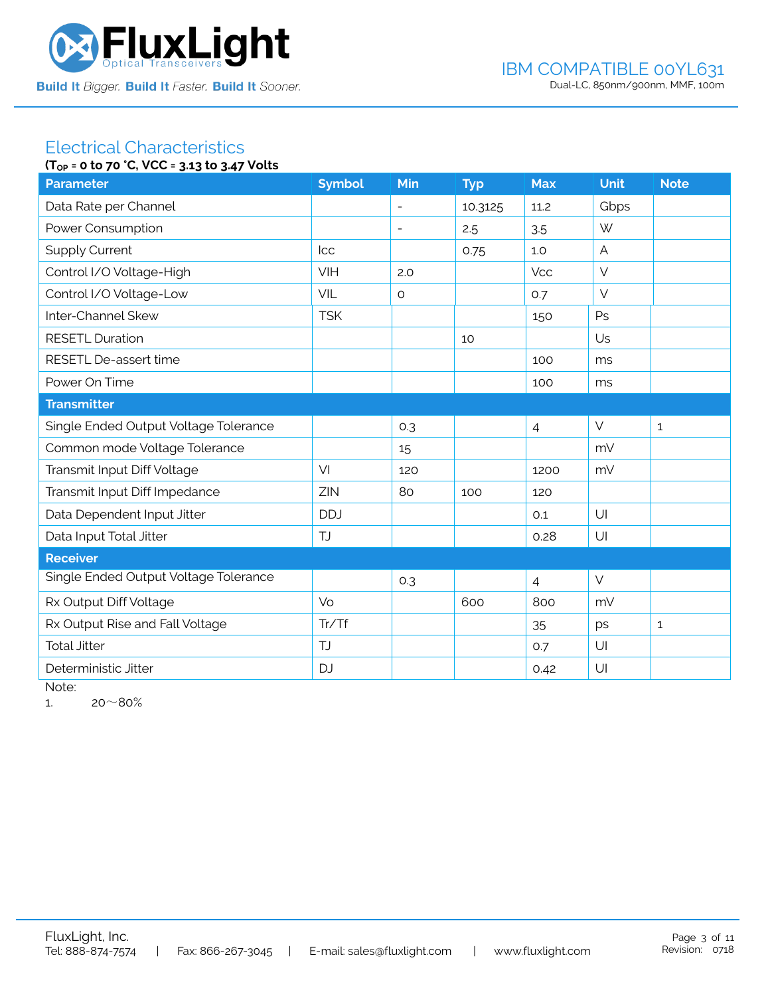

#### Electrical Characteristics **(TOP = 0 to 70 °C, VCC = 3.13 to 3.47 Volts**

|                                       | $10P = 0$ to $70$ c, $0C = 3.13$ to $3.47$ votts |                          |            |                |             |              |  |  |
|---------------------------------------|--------------------------------------------------|--------------------------|------------|----------------|-------------|--------------|--|--|
| <b>Parameter</b>                      | <b>Symbol</b>                                    | Min                      | <b>Typ</b> | <b>Max</b>     | <b>Unit</b> | <b>Note</b>  |  |  |
| Data Rate per Channel                 |                                                  |                          | 10.3125    | 11.2           | Gbps        |              |  |  |
| Power Consumption                     |                                                  | $\overline{\phantom{a}}$ | 2.5        | 3.5            | W           |              |  |  |
| <b>Supply Current</b>                 | <b>Icc</b>                                       |                          | 0.75       | 1.0            | A           |              |  |  |
| Control I/O Voltage-High              | VIH                                              | 2.0                      |            | <b>Vcc</b>     | $\vee$      |              |  |  |
| Control I/O Voltage-Low               | VIL                                              | $\circ$                  |            | 0.7            | $\vee$      |              |  |  |
| Inter-Channel Skew                    | <b>TSK</b>                                       |                          |            | 150            | Ps          |              |  |  |
| <b>RESETL Duration</b>                |                                                  |                          | 10         |                | Us          |              |  |  |
| RESETL De-assert time                 |                                                  |                          |            | 100            | ms          |              |  |  |
| Power On Time                         |                                                  |                          |            | 100            | ms          |              |  |  |
| <b>Transmitter</b>                    |                                                  |                          |            |                |             |              |  |  |
| Single Ended Output Voltage Tolerance |                                                  | 0.3                      |            | $\overline{4}$ | $\vee$      | $\mathbf{1}$ |  |  |
| Common mode Voltage Tolerance         |                                                  | 15                       |            |                | mV          |              |  |  |
| Transmit Input Diff Voltage           | VI                                               | 120                      |            | 1200           | mV          |              |  |  |
| Transmit Input Diff Impedance         | ZIN                                              | 80                       | 100        | 120            |             |              |  |  |
| Data Dependent Input Jitter           | <b>DDJ</b>                                       |                          |            | 0.1            | U           |              |  |  |
| Data Input Total Jitter               | <b>TJ</b>                                        |                          |            | 0.28           | U           |              |  |  |
| <b>Receiver</b>                       |                                                  |                          |            |                |             |              |  |  |
| Single Ended Output Voltage Tolerance |                                                  | 0.3                      |            | $\overline{4}$ | $\vee$      |              |  |  |
| Rx Output Diff Voltage                | Vo                                               |                          | 600        | 800            | mV          |              |  |  |
| Rx Output Rise and Fall Voltage       | Tr/Tf                                            |                          |            | 35             | ps          | $\mathbf{1}$ |  |  |
| <b>Total Jitter</b>                   | TJ                                               |                          |            | 0.7            | U           |              |  |  |
| Deterministic Jitter                  | <b>DJ</b>                                        |                          |            | 0.42           | U           |              |  |  |
|                                       |                                                  |                          |            |                |             |              |  |  |

Note:

1.  $20~80%$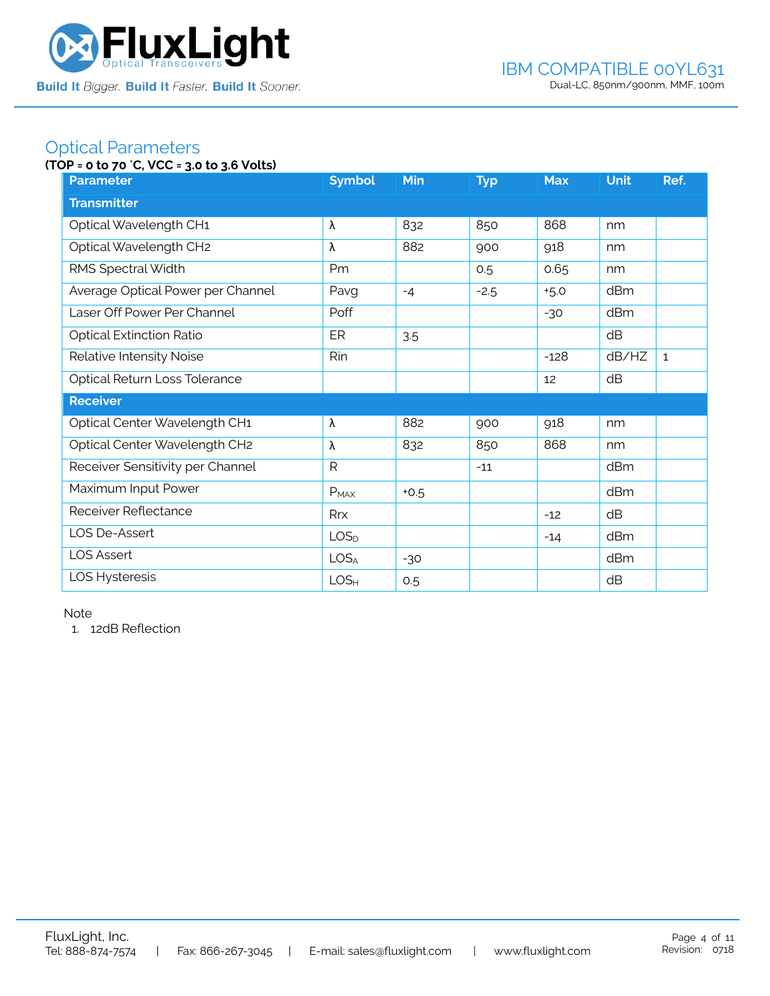

### Optical Parameters

### **(TOP = 0 to 70** °**C, VCC = 3.0 to 3.6 Volts)**

| <b>Parameter</b>                  | <b>Symbol</b>    | <b>Min</b> | <b>Typ</b> | <b>Max</b> | <b>Unit</b> | Ref.         |  |
|-----------------------------------|------------------|------------|------------|------------|-------------|--------------|--|
| <b>Transmitter</b>                |                  |            |            |            |             |              |  |
| Optical Wavelength CH1            | λ                | 832        | 850        | 868        | nm          |              |  |
| Optical Wavelength CH2            | λ                | 882        | 900        | 918        | nm          |              |  |
| RMS Spectral Width                | Pm               |            | 0.5        | 0.65       | nm          |              |  |
| Average Optical Power per Channel | Pavg             | $-4$       | $-2.5$     | $+5.0$     | dBm         |              |  |
| Laser Off Power Per Channel       | Poff             |            |            | $-30$      | dBm         |              |  |
| <b>Optical Extinction Ratio</b>   | ER               | 3.5        |            |            | dB          |              |  |
| Relative Intensity Noise          | Rin              |            |            | $-128$     | dB/HZ       | $\mathbf{1}$ |  |
| Optical Return Loss Tolerance     |                  |            |            | 12         | dB          |              |  |
| <b>Receiver</b>                   |                  |            |            |            |             |              |  |
| Optical Center Wavelength CH1     | λ                | 882        | 900        | 918        | nm          |              |  |
| Optical Center Wavelength CH2     | λ                | 832        | 850        | 868        | nm          |              |  |
| Receiver Sensitivity per Channel  | $\mathsf{R}$     |            | $-11$      |            | dBm         |              |  |
| Maximum Input Power               | $P_{MAX}$        | $+0.5$     |            |            | dBm         |              |  |
| Receiver Reflectance              | Rrx              |            |            | $-12$      | dB          |              |  |
| LOS De-Assert                     | LOS <sub>D</sub> |            |            | $-14$      | dBm         |              |  |
| <b>LOS Assert</b>                 | LOS <sub>A</sub> | $-30$      |            |            | dBm         |              |  |
| LOS Hysteresis                    | LOS <sub>H</sub> | 0.5        |            |            | dB          |              |  |

Note

1. 12dB Reflection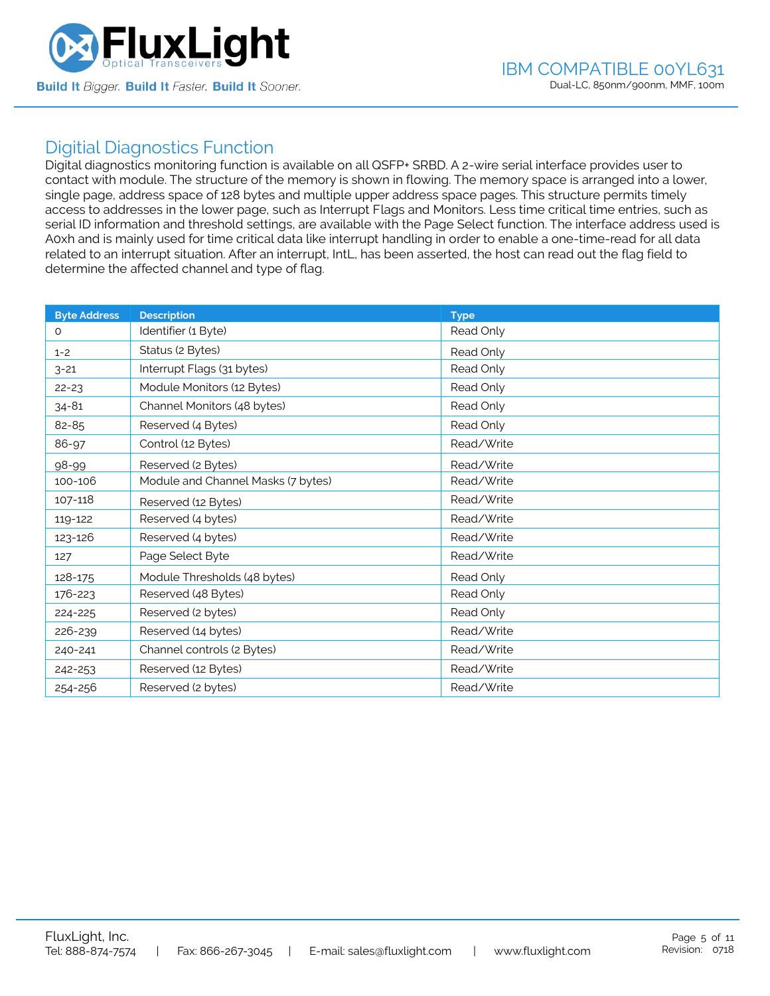

### Digitial Diagnostics Function

Digital diagnostics monitoring function is available on all QSFP+ SRBD. A 2-wire serial interface provides user to contact with module. The structure of the memory is shown in flowing. The memory space is arranged into a lower, single page, address space of 128 bytes and multiple upper address space pages. This structure permits timely access to addresses in the lower page, such as Interrupt Flags and Monitors. Less time critical time entries, such as serial ID information and threshold settings, are available with the Page Select function. The interface address used is A0xh and is mainly used for time critical data like interrupt handling in order to enable a one-time-read for all data related to an interrupt situation. After an interrupt, IntL, has been asserted, the host can read out the flag field to determine the affected channel and type of flag.

| <b>Byte Address</b> | <b>Description</b>                 | <b>Type</b> |
|---------------------|------------------------------------|-------------|
| $\Omega$            | Identifier (1 Byte)                | Read Only   |
| $1 - 2$             | Status (2 Bytes)                   | Read Only   |
| $3 - 21$            | Interrupt Flags (31 bytes)         | Read Only   |
| $22 - 23$           | Module Monitors (12 Bytes)         | Read Only   |
| $34 - 81$           | Channel Monitors (48 bytes)        | Read Only   |
| 82-85               | Reserved (4 Bytes)                 | Read Only   |
| 86-97               | Control (12 Bytes)                 | Read/Write  |
| 98-99               | Reserved (2 Bytes)                 | Read/Write  |
| 100-106             | Module and Channel Masks (7 bytes) | Read/Write  |
| 107-118             | Reserved (12 Bytes)                | Read/Write  |
| 119-122             | Reserved (4 bytes)                 | Read/Write  |
| 123-126             | Reserved (4 bytes)                 | Read/Write  |
| 127                 | Page Select Byte                   | Read/Write  |
| 128-175             | Module Thresholds (48 bytes)       | Read Only   |
| 176-223             | Reserved (48 Bytes)                | Read Only   |
| 224-225             | Reserved (2 bytes)                 | Read Only   |
| 226-239             | Reserved (14 bytes)                | Read/Write  |
| 240-241             | Channel controls (2 Bytes)         | Read/Write  |
| 242-253             | Reserved (12 Bytes)                | Read/Write  |
| 254-256             | Reserved (2 bytes)                 | Read/Write  |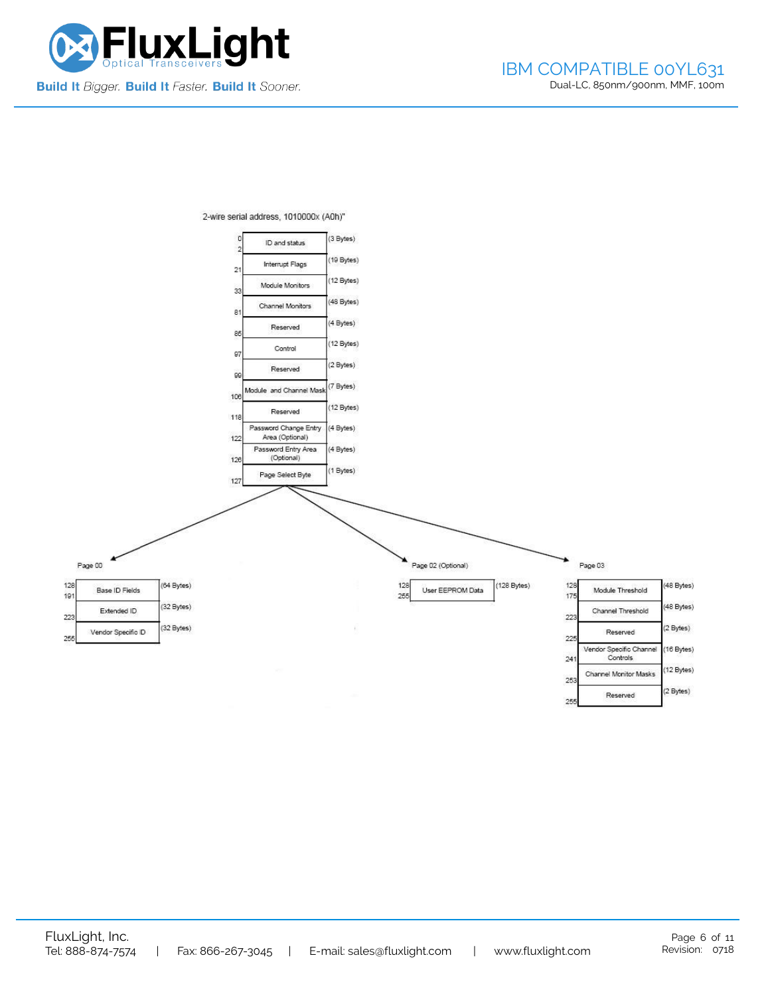



2-wire serial address, 1010000x (A0h)"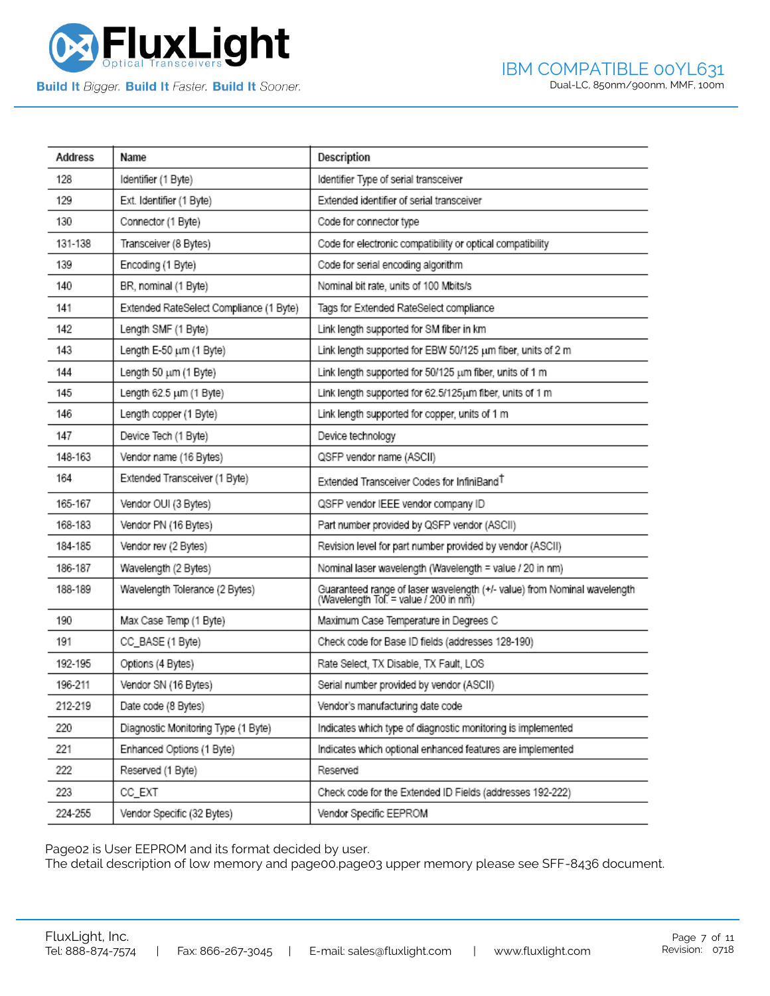

| <b>Address</b> | Name                                    | Description                                                                                                       |
|----------------|-----------------------------------------|-------------------------------------------------------------------------------------------------------------------|
| 128            | Identifier (1 Byte)                     | Identifier Type of serial transceiver                                                                             |
| 129            | Ext. Identifier (1 Byte)                | Extended identifier of serial transceiver                                                                         |
| 130            | Connector (1 Byte)                      | Code for connector type                                                                                           |
| 131-138        | Transceiver (8 Bytes)                   | Code for electronic compatibility or optical compatibility                                                        |
| 139            | Encoding (1 Byte)                       | Code for serial encoding algorithm                                                                                |
| 140            | BR, nominal (1 Byte)                    | Nominal bit rate, units of 100 Mbits/s                                                                            |
| 141            | Extended RateSelect Compliance (1 Byte) | Tags for Extended RateSelect compliance                                                                           |
| 142            | Length SMF (1 Byte)                     | Link length supported for SM fiber in km                                                                          |
| 143            | Length E-50 um (1 Byte)                 | Link length supported for EBW 50/125 um fiber, units of 2 m                                                       |
| 144            | Length 50 um (1 Byte)                   | Link length supported for 50/125 um fiber, units of 1 m                                                           |
| 145            | Length 62.5 um (1 Byte)                 | Link length supported for 62.5/125um fiber, units of 1 m                                                          |
| 146            | Length copper (1 Byte)                  | Link length supported for copper, units of 1 m                                                                    |
| 147            | Device Tech (1 Byte)                    | Device technology                                                                                                 |
| 148-163        | Vendor name (16 Bytes)                  | QSFP vendor name (ASCII)                                                                                          |
| 164            | Extended Transceiver (1 Byte)           | Extended Transceiver Codes for InfiniBand <sup>T</sup>                                                            |
| 165-167        | Vendor OUI (3 Bytes)                    | QSFP vendor IEEE vendor company ID                                                                                |
| 168-183        | Vendor PN (16 Bytes)                    | Part number provided by QSFP vendor (ASCII)                                                                       |
| 184-185        | Vendor rev (2 Bytes)                    | Revision level for part number provided by vendor (ASCII)                                                         |
| 186-187        | Wavelength (2 Bytes)                    | Nominal laser wavelength (Wavelength = value / 20 in nm)                                                          |
| 188-189        | Wavelength Tolerance (2 Bytes)          | Guaranteed range of laser wavelength (+/- value) from Nominal wavelength<br>(Wavelength Tol. = value / 200 in nm) |
| 190            | Max Case Temp (1 Byte)                  | Maximum Case Temperature in Degrees C                                                                             |
| 191            | CC_BASE (1 Byte)                        | Check code for Base ID fields (addresses 128-190)                                                                 |
| 192-195        | Options (4 Bytes)                       | Rate Select, TX Disable, TX Fault, LOS                                                                            |
| 196-211        | Vendor SN (16 Bytes)                    | Serial number provided by vendor (ASCII)                                                                          |
| 212-219        | Date code (8 Bytes)                     | Vendor's manufacturing date code                                                                                  |
| 220            | Diagnostic Monitoring Type (1 Byte)     | Indicates which type of diagnostic monitoring is implemented                                                      |
| 221            | Enhanced Options (1 Byte)               | Indicates which optional enhanced features are implemented                                                        |
| 222            | Reserved (1 Byte)                       | Reserved                                                                                                          |
| 223            | CC_EXT                                  | Check code for the Extended ID Fields (addresses 192-222)                                                         |
| 224-255        | Vendor Specific (32 Bytes)              | Vendor Specific EEPROM                                                                                            |

Page02 is User EEPROM and its format decided by user.

The detail description of low memory and page00.page03 upper memory please see SFF-8436 document.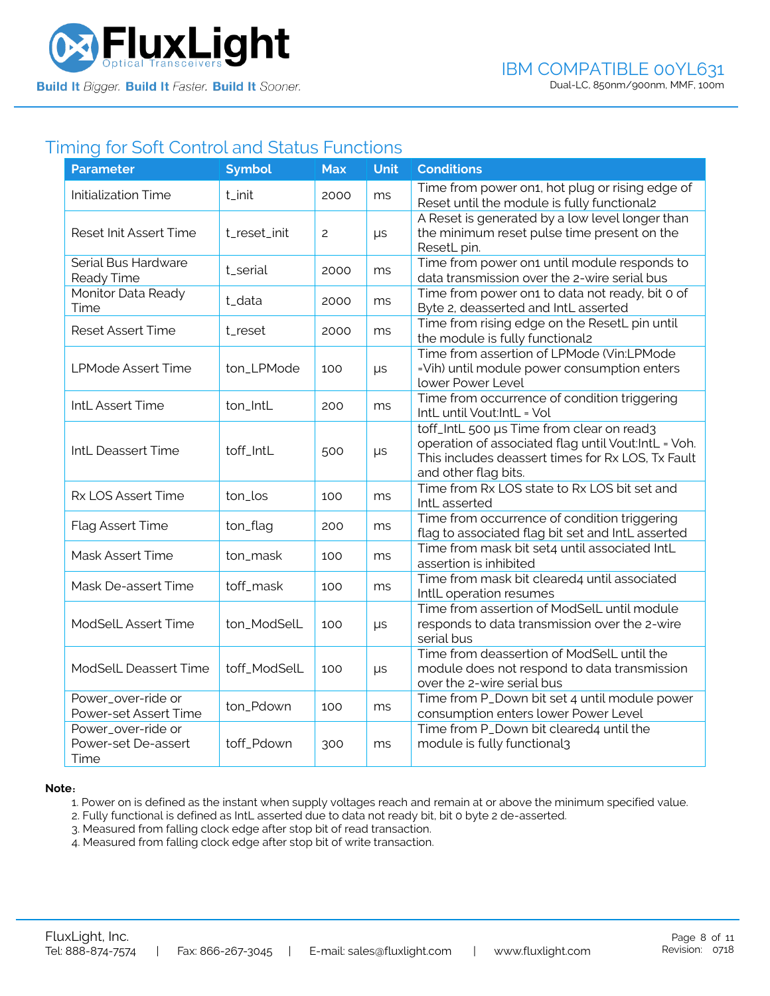

### Timing for Soft Control and Status Functions

| <b>Parameter</b>                                  | <b>Symbol</b> | <b>Max</b>     | <b>Unit</b> | <b>Conditions</b>                                                                                                                                                             |
|---------------------------------------------------|---------------|----------------|-------------|-------------------------------------------------------------------------------------------------------------------------------------------------------------------------------|
| Initialization Time                               | t_init        | 2000           | ms          | Time from power on1, hot plug or rising edge of<br>Reset until the module is fully functional2                                                                                |
| <b>Reset Init Assert Time</b>                     | t_reset_init  | $\overline{c}$ | $\mu s$     | A Reset is generated by a low level longer than<br>the minimum reset pulse time present on the<br>ResetL pin.                                                                 |
| Serial Bus Hardware<br>Ready Time                 | t_serial      | 2000           | ms          | Time from power on1 until module responds to<br>data transmission over the 2-wire serial bus                                                                                  |
| Monitor Data Ready<br>Time                        | t_data        | 2000           | ms          | Time from power on1 to data not ready, bit 0 of<br>Byte 2, deasserted and IntL asserted                                                                                       |
| <b>Reset Assert Time</b>                          | t_reset       | 2000           | ms          | Time from rising edge on the ResetL pin until<br>the module is fully functional2                                                                                              |
| <b>LPMode Assert Time</b>                         | ton_LPMode    | 100            | μs          | Time from assertion of LPMode (Vin:LPMode<br>=Vih) until module power consumption enters<br>lower Power Level                                                                 |
| IntL Assert Time                                  | ton_IntL      | 200            | ms          | Time from occurrence of condition triggering<br>IntL until Vout:IntL = Vol                                                                                                    |
| IntL Deassert Time                                | toff_IntL     | 500            | $\mu s$     | toff_IntL 500 µs Time from clear on read3<br>operation of associated flag until Vout:IntL = Voh.<br>This includes deassert times for Rx LOS, Tx Fault<br>and other flag bits. |
| Rx LOS Assert Time                                | ton_los       | 100            | ms          | Time from Rx LOS state to Rx LOS bit set and<br>IntL asserted                                                                                                                 |
| Flag Assert Time                                  | ton_flag      | 200            | ms          | Time from occurrence of condition triggering<br>flag to associated flag bit set and IntL asserted                                                                             |
| Mask Assert Time                                  | ton_mask      | 100            | ms          | Time from mask bit set4 until associated IntL<br>assertion is inhibited                                                                                                       |
| Mask De-assert Time                               | toff_mask     | 100            | ms          | Time from mask bit cleared4 until associated<br>IntlL operation resumes                                                                                                       |
| ModSelL Assert Time                               | ton_ModSelL   | 100            | μs          | Time from assertion of ModSelL until module<br>responds to data transmission over the 2-wire<br>serial bus                                                                    |
| ModSelL Deassert Time                             | toff_ModSelL  | 100            | $\mu s$     | Time from deassertion of ModSelL until the<br>module does not respond to data transmission<br>over the 2-wire serial bus                                                      |
| Power_over-ride or<br>Power-set Assert Time       | ton_Pdown     | 100            | ms          | Time from P_Down bit set 4 until module power<br>consumption enters lower Power Level                                                                                         |
| Power_over-ride or<br>Power-set De-assert<br>Time | toff_Pdown    | 300            | ms          | Time from P_Down bit cleared4 until the<br>module is fully functional3                                                                                                        |

#### **Note**:

1. Power on is defined as the instant when supply voltages reach and remain at or above the minimum specified value.

- 2. Fully functional is defined as IntL asserted due to data not ready bit, bit 0 byte 2 de-asserted.
- 3. Measured from falling clock edge after stop bit of read transaction.
- 4. Measured from falling clock edge after stop bit of write transaction.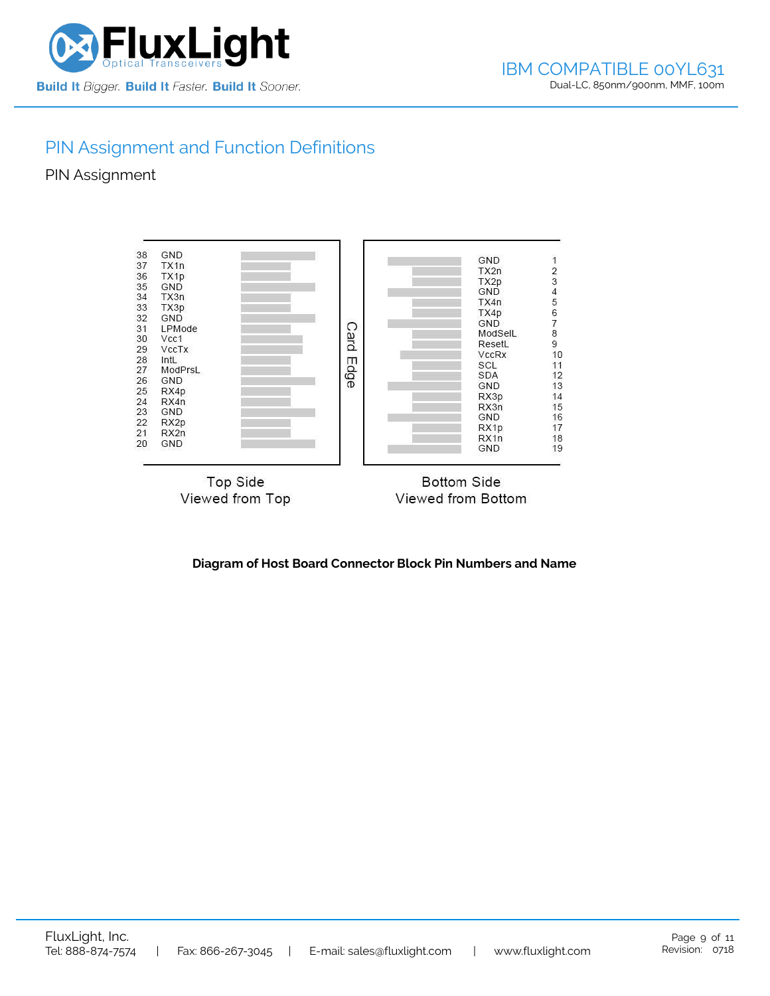

# PIN Assignment and Function Definitions

PIN Assignment



**Diagram of Host Board Connector Block Pin Numbers and Name**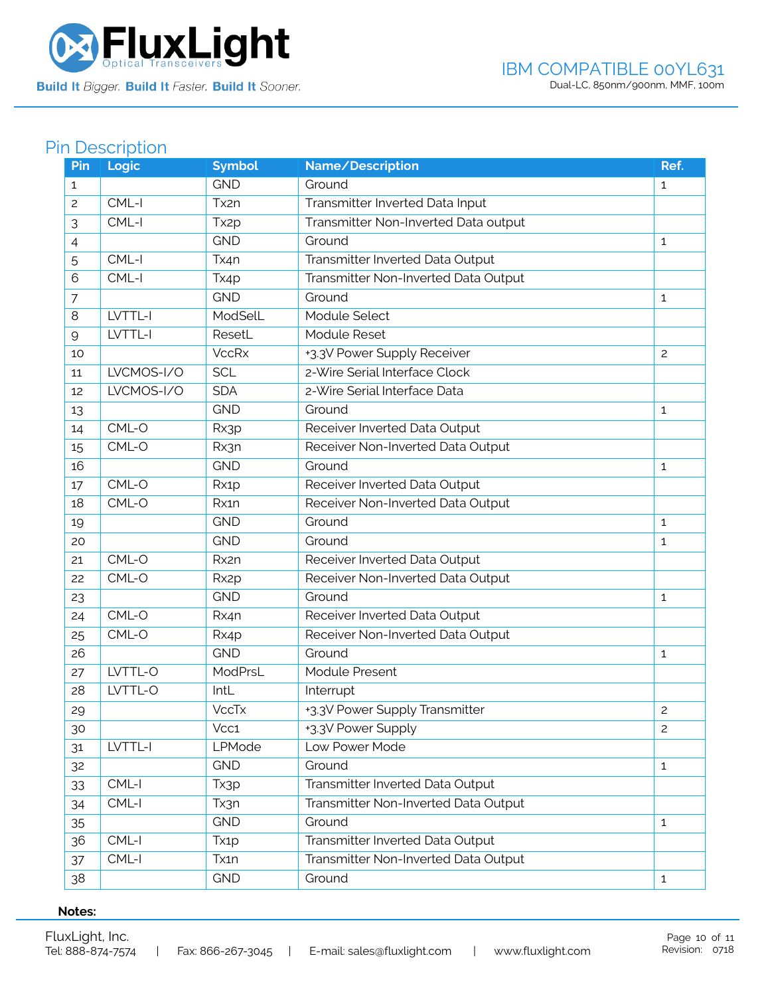

# Pin Description

| Pin            | Logic      | <b>Symbol</b>     | Name/Description                     | Ref.           |
|----------------|------------|-------------------|--------------------------------------|----------------|
| 1              |            | <b>GND</b>        | Ground                               | $\mathbf{1}$   |
| $\overline{c}$ | CML-I      | Tx2n              | Transmitter Inverted Data Input      |                |
| 3              | CML-I      | Tx <sub>2</sub> p | Transmitter Non-Inverted Data output |                |
| 4              |            | <b>GND</b>        | Ground                               | $\mathbf{1}$   |
| 5              | CML-I      | Tx4n              | Transmitter Inverted Data Output     |                |
| 6              | CML-I      | Tx4p              | Transmitter Non-Inverted Data Output |                |
| 7              |            | <b>GND</b>        | Ground                               | 1              |
| 8              | LVTTL-I    | ModSelL           | Module Select                        |                |
| 9              | LVTTL-I    | ResetL            | Module Reset                         |                |
| 10             |            | <b>VccRx</b>      | +3.3V Power Supply Receiver          | $\overline{c}$ |
| 11             | LVCMOS-I/O | <b>SCL</b>        | 2-Wire Serial Interface Clock        |                |
| 12             | LVCMOS-I/O | <b>SDA</b>        | 2-Wire Serial Interface Data         |                |
| 13             |            | <b>GND</b>        | Ground                               | $\mathbf{1}$   |
| 14             | CML-O      | Rx3p              | Receiver Inverted Data Output        |                |
| 15             | CML-O      | Rx3n              | Receiver Non-Inverted Data Output    |                |
| 16             |            | <b>GND</b>        | Ground                               | 1              |
| 17             | CML-O      | Rx1p              | Receiver Inverted Data Output        |                |
| 18             | CML-O      | Rx1n              | Receiver Non-Inverted Data Output    |                |
| 19             |            | <b>GND</b>        | Ground                               | $\mathbf{1}$   |
| 20             |            | <b>GND</b>        | Ground                               | $\mathbf{1}$   |
| 21             | $CML-O$    | Rx2n              | Receiver Inverted Data Output        |                |
| 22             | CML-O      | Rx <sub>2</sub> p | Receiver Non-Inverted Data Output    |                |
| 23             |            | <b>GND</b>        | Ground                               | 1              |
| 24             | CML-O      | Rx4n              | Receiver Inverted Data Output        |                |
| 25             | CML-O      | Rx4p              | Receiver Non-Inverted Data Output    |                |
| 26             |            | <b>GND</b>        | Ground                               | $\mathbf{1}$   |
| 27             | LVTTL-O    | ModPrsL           | <b>Module Present</b>                |                |
| 28             | LVTTL-O    | IntL              | Interrupt                            |                |
| 29             |            | <b>VccTx</b>      | +3.3V Power Supply Transmitter       | $\overline{c}$ |
| 30             |            | Vcc1              | +3.3V Power Supply                   | $\overline{c}$ |
| 31             | LVTTL-I    | LPMode            | Low Power Mode                       |                |
| 32             |            | <b>GND</b>        | Ground                               | $\mathbf{1}$   |
| 33             | $CML-I$    | Tx3p              | Transmitter Inverted Data Output     |                |
| 34             | CML-I      | Tx3n              | Transmitter Non-Inverted Data Output |                |
| 35             |            | <b>GND</b>        | Ground                               | $\mathbf{1}$   |
| 36             | CML-I      | Tx1p              | Transmitter Inverted Data Output     |                |
| 37             | CML-I      | Tx1n              | Transmitter Non-Inverted Data Output |                |
| 38             |            | <b>GND</b>        | Ground                               | $\mathbf{1}$   |

### **Notes:**